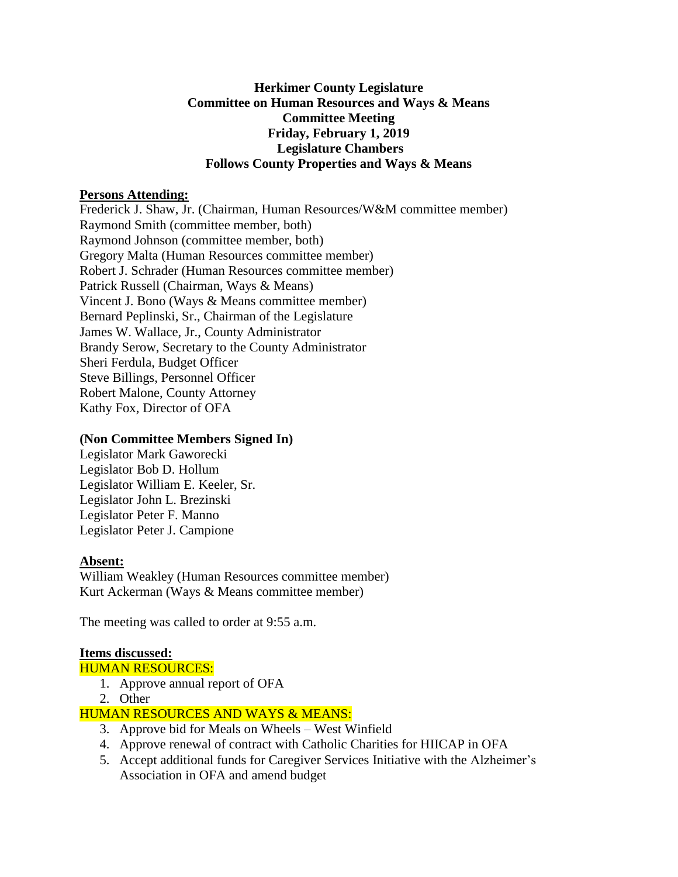## **Herkimer County Legislature Committee on Human Resources and Ways & Means Committee Meeting Friday, February 1, 2019 Legislature Chambers Follows County Properties and Ways & Means**

## **Persons Attending:**

Frederick J. Shaw, Jr. (Chairman, Human Resources/W&M committee member) Raymond Smith (committee member, both) Raymond Johnson (committee member, both) Gregory Malta (Human Resources committee member) Robert J. Schrader (Human Resources committee member) Patrick Russell (Chairman, Ways & Means) Vincent J. Bono (Ways & Means committee member) Bernard Peplinski, Sr., Chairman of the Legislature James W. Wallace, Jr., County Administrator Brandy Serow, Secretary to the County Administrator Sheri Ferdula, Budget Officer Steve Billings, Personnel Officer Robert Malone, County Attorney Kathy Fox, Director of OFA

# **(Non Committee Members Signed In)**

Legislator Mark Gaworecki Legislator Bob D. Hollum Legislator William E. Keeler, Sr. Legislator John L. Brezinski Legislator Peter F. Manno Legislator Peter J. Campione

# **Absent:**

William Weakley (Human Resources committee member) Kurt Ackerman (Ways & Means committee member)

The meeting was called to order at 9:55 a.m.

# **Items discussed:**

#### HUMAN RESOURCES:

- 1. Approve annual report of OFA
- 2. Other

# HUMAN RESOURCES AND WAYS & MEANS:

- 3. Approve bid for Meals on Wheels West Winfield
- 4. Approve renewal of contract with Catholic Charities for HIICAP in OFA
- 5. Accept additional funds for Caregiver Services Initiative with the Alzheimer's Association in OFA and amend budget